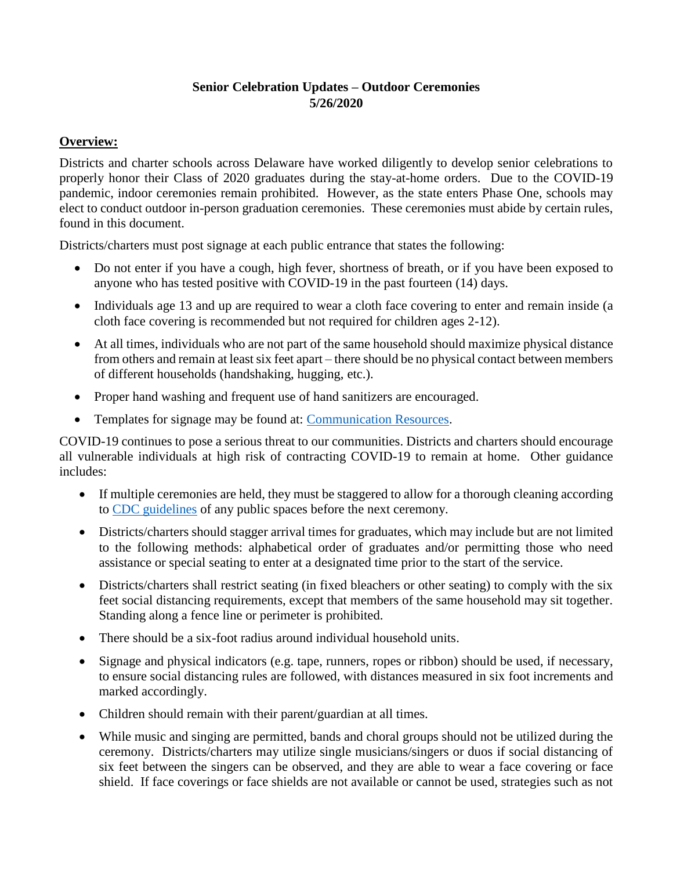# **Senior Celebration Updates – Outdoor Ceremonies 5/26/2020**

## **Overview:**

Districts and charter schools across Delaware have worked diligently to develop senior celebrations to properly honor their Class of 2020 graduates during the stay-at-home orders. Due to the COVID-19 pandemic, indoor ceremonies remain prohibited. However, as the state enters Phase One, schools may elect to conduct outdoor in-person graduation ceremonies. These ceremonies must abide by certain rules, found in this document.

Districts/charters must post signage at each public entrance that states the following:

- Do not enter if you have a cough, high fever, shortness of breath, or if you have been exposed to anyone who has tested positive with COVID-19 in the past fourteen (14) days.
- Individuals age 13 and up are required to wear a cloth face covering to enter and remain inside (a cloth face covering is recommended but not required for children ages 2-12).
- At all times, individuals who are not part of the same household should maximize physical distance from others and remain at least six feet apart – there should be no physical contact between members of different households (handshaking, hugging, etc.).
- Proper hand washing and frequent use of hand sanitizers are encouraged.
- Templates for signage may be found at: [Communication Resources.](https://www.cdc.gov/coronavirus/2019-ncov/communication/index.html)

COVID-19 continues to pose a serious threat to our communities. Districts and charters should encourage all vulnerable individuals at high risk of contracting COVID-19 to remain at home. Other guidance includes:

- If multiple ceremonies are held, they must be staggered to allow for a thorough cleaning according to [CDC guidelines](https://www.cdc.gov/coronavirus/2019-ncov/community/pdf/Reopening_America_Guidance.pdf) of any public spaces before the next ceremony.
- Districts/charters should stagger arrival times for graduates, which may include but are not limited to the following methods: alphabetical order of graduates and/or permitting those who need assistance or special seating to enter at a designated time prior to the start of the service.
- Districts/charters shall restrict seating (in fixed bleachers or other seating) to comply with the six feet social distancing requirements, except that members of the same household may sit together. Standing along a fence line or perimeter is prohibited.
- There should be a six-foot radius around individual household units.
- Signage and physical indicators (e.g. tape, runners, ropes or ribbon) should be used, if necessary, to ensure social distancing rules are followed, with distances measured in six foot increments and marked accordingly.
- Children should remain with their parent/guardian at all times.
- While music and singing are permitted, bands and choral groups should not be utilized during the ceremony. Districts/charters may utilize single musicians/singers or duos if social distancing of six feet between the singers can be observed, and they are able to wear a face covering or face shield. If face coverings or face shields are not available or cannot be used, strategies such as not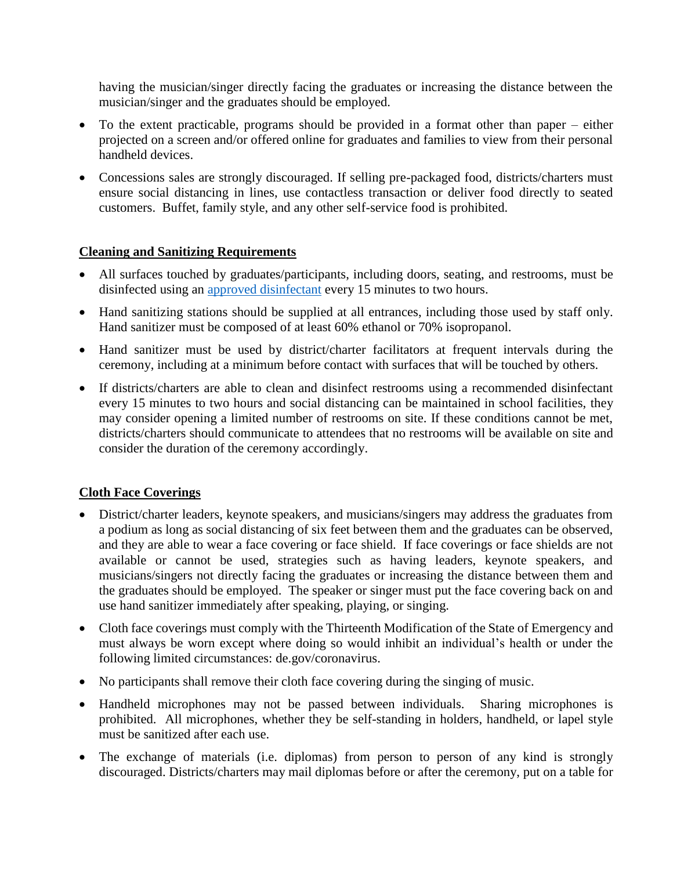having the musician/singer directly facing the graduates or increasing the distance between the musician/singer and the graduates should be employed.

- To the extent practicable, programs should be provided in a format other than paper either projected on a screen and/or offered online for graduates and families to view from their personal handheld devices.
- Concessions sales are strongly discouraged. If selling pre-packaged food, districts/charters must ensure social distancing in lines, use contactless transaction or deliver food directly to seated customers. Buffet, family style, and any other self-service food is prohibited.

### **Cleaning and Sanitizing Requirements**

- All surfaces touched by graduates/participants, including doors, seating, and restrooms, must be disinfected using an [approved disinfectant](https://www.epa.gov/pesticide-registration/list-n-disinfectants-use-against-sars-cov-2) every 15 minutes to two hours.
- Hand sanitizing stations should be supplied at all entrances, including those used by staff only. Hand sanitizer must be composed of at least 60% ethanol or 70% isopropanol.
- Hand sanitizer must be used by district/charter facilitators at frequent intervals during the ceremony, including at a minimum before contact with surfaces that will be touched by others.
- If districts/charters are able to clean and disinfect restrooms using a recommended disinfectant every 15 minutes to two hours and social distancing can be maintained in school facilities, they may consider opening a limited number of restrooms on site. If these conditions cannot be met, districts/charters should communicate to attendees that no restrooms will be available on site and consider the duration of the ceremony accordingly.

### **Cloth Face Coverings**

- District/charter leaders, keynote speakers, and musicians/singers may address the graduates from a podium as long as social distancing of six feet between them and the graduates can be observed, and they are able to wear a face covering or face shield. If face coverings or face shields are not available or cannot be used, strategies such as having leaders, keynote speakers, and musicians/singers not directly facing the graduates or increasing the distance between them and the graduates should be employed. The speaker or singer must put the face covering back on and use hand sanitizer immediately after speaking, playing, or singing.
- Cloth face coverings must comply with the Thirteenth Modification of the State of Emergency and must always be worn except where doing so would inhibit an individual's health or under the following limited circumstances: de.gov/coronavirus.
- No participants shall remove their cloth face covering during the singing of music.
- Handheld microphones may not be passed between individuals. Sharing microphones is prohibited. All microphones, whether they be self-standing in holders, handheld, or lapel style must be sanitized after each use.
- The exchange of materials (i.e. diplomas) from person to person of any kind is strongly discouraged. Districts/charters may mail diplomas before or after the ceremony, put on a table for